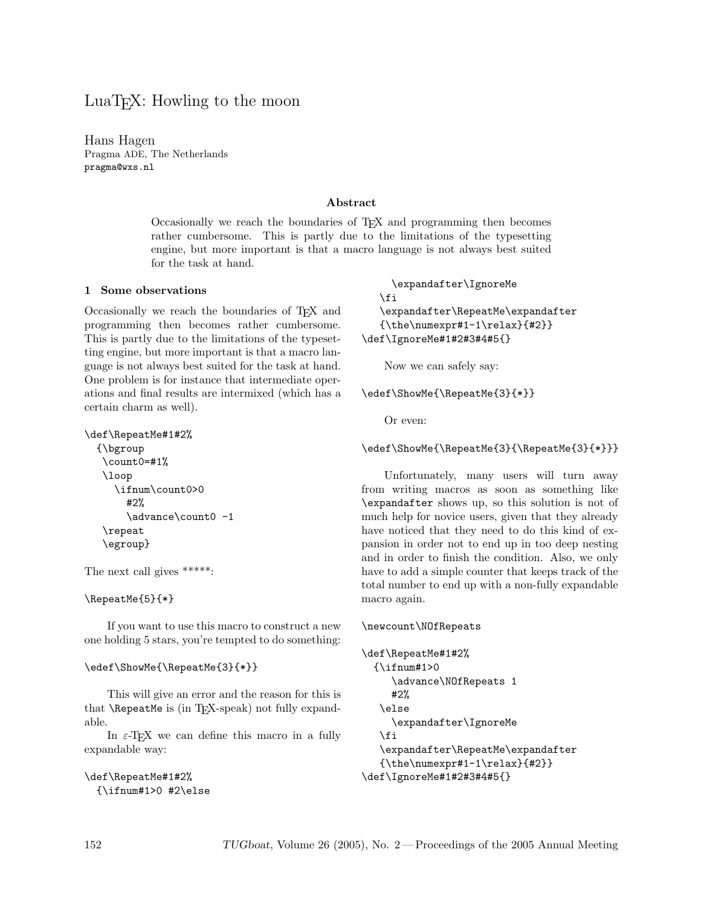# LuaT<sub>EX</sub>: Howling to the moon

Hans Hagen Pragma ADE, The Netherlands pragma@wxs.nl

#### Abstract

Occasionally we reach the boundaries of T<sub>E</sub>X and programming then becomes rather cumbersome. This is partly due to the limitations of the typesetting engine, but more important is that a macro language is not always best suited for the task at hand.

#### 1 Some observations

Occasionally we reach the boundaries of TEX and programming then becomes rather cumbersome. This is partly due to the limitations of the typesetting engine, but more important is that a macro language is not always best suited for the task at hand. One problem is for instance that intermediate operations and final results are intermixed (which has a certain charm as well).

```
\def\RepeatMe#1#2%
 {\bgroup
   \count0=#1%
   \loop
     \ifnum\count0>0
       #2%
       \advance\count0 -1
   \repeat
   \egroup}
```
The next call gives \*\*\*\*\*:

#### \RepeatMe{5}{\*}

If you want to use this macro to construct a new one holding 5 stars, you're tempted to do something:

#### \edef\ShowMe{\RepeatMe{3}{\*}}

This will give an error and the reason for this is that  $\Re$ epeatMe is (in T<sub>E</sub>X-speak) not fully expandable.

In  $\varepsilon$ -T<sub>E</sub>X we can define this macro in a fully expandable way:

```
\def\RepeatMe#1#2%
 {\binom{1>0 #2\else
```

```
\expandafter\IgnoreMe
   \fi
   \expandafter\RepeatMe\expandafter
   {\the\numexpr#1-1\relax}{#2}}
\def\IgnoreMe#1#2#3#4#5{}
```
Now we can safely say:

#### \edef\ShowMe{\RepeatMe{3}{\*}}

Or even:

#### \edef\ShowMe{\RepeatMe{3}{\RepeatMe{3}{\*}}}

Unfortunately, many users will turn away from writing macros as soon as something like \expandafter shows up, so this solution is not of much help for novice users, given that they already have noticed that they need to do this kind of expansion in order not to end up in too deep nesting and in order to finish the condition. Also, we only have to add a simple counter that keeps track of the total number to end up with a non-fully expandable macro again.

#### \newcount\NOfRepeats

```
\def\RepeatMe#1#2%
  {\scriptstyle\{\hspace{-0.5mm}\}_{i\hspace{-0.5mm}+\hspace{-0.5mm}1>0}}\advance\NOfRepeats 1
      #2%
    \else
      \expandafter\IgnoreMe
    \fi
    \expandafter\RepeatMe\expandafter
    {\theta\nu\mu\text{1-1\relax}{#2}}\def\IgnoreMe#1#2#3#4#5{}
```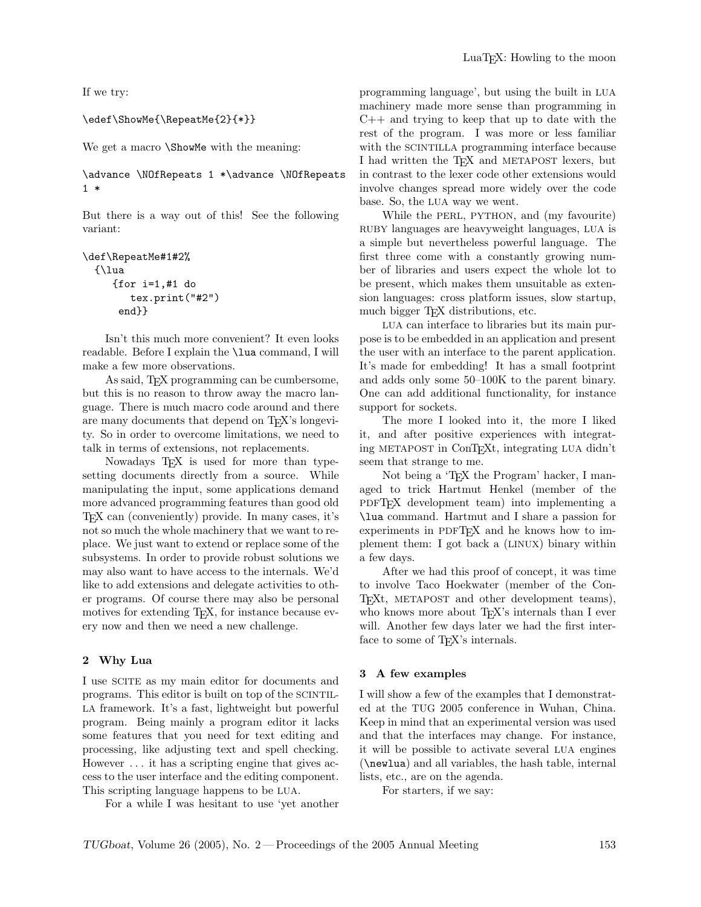If we try:

#### \edef\ShowMe{\RepeatMe{2}{\*}}

We get a macro **\ShowMe** with the meaning:

\advance \NOfRepeats 1 \*\advance \NOfRepeats 1 \*

But there is a way out of this! See the following variant:

```
\def\RepeatMe#1#2%
 {\lua
     {for i=1,#1 do
        tex.print("#2")
      end}}
```
Isn't this much more convenient? It even looks readable. Before I explain the \lua command, I will make a few more observations.

As said, T<sub>F</sub>X programming can be cumbersome, but this is no reason to throw away the macro language. There is much macro code around and there are many documents that depend on T<sub>E</sub>X's longevity. So in order to overcome limitations, we need to talk in terms of extensions, not replacements.

Nowadays T<sub>EX</sub> is used for more than typesetting documents directly from a source. While manipulating the input, some applications demand more advanced programming features than good old TEX can (conveniently) provide. In many cases, it's not so much the whole machinery that we want to replace. We just want to extend or replace some of the subsystems. In order to provide robust solutions we may also want to have access to the internals. We'd like to add extensions and delegate activities to other programs. Of course there may also be personal motives for extending T<sub>E</sub>X, for instance because every now and then we need a new challenge.

#### 2 Why Lua

I use SCITE as my main editor for documents and programs. This editor is built on top of the SCINTIL-LA framework. It's a fast, lightweight but powerful program. Being mainly a program editor it lacks some features that you need for text editing and processing, like adjusting text and spell checking. However . . . it has a scripting engine that gives access to the user interface and the editing component. This scripting language happens to be LUA.

For a while I was hesitant to use 'yet another

programming language', but using the built in LUA machinery made more sense than programming in C++ and trying to keep that up to date with the rest of the program. I was more or less familiar with the SCINTILLA programming interface because I had written the TEX and METAPOST lexers, but in contrast to the lexer code other extensions would involve changes spread more widely over the code base. So, the LUA way we went.

While the PERL, PYTHON, and (my favourite) RUBY languages are heavyweight languages, LUA is a simple but nevertheless powerful language. The first three come with a constantly growing number of libraries and users expect the whole lot to be present, which makes them unsuitable as extension languages: cross platform issues, slow startup, much bigger T<sub>EX</sub> distributions, etc.

LUA can interface to libraries but its main purpose is to be embedded in an application and present the user with an interface to the parent application. It's made for embedding! It has a small footprint and adds only some 50–100K to the parent binary. One can add additional functionality, for instance support for sockets.

The more I looked into it, the more I liked it, and after positive experiences with integrating METAPOST in ConTEXt, integrating LUA didn't seem that strange to me.

Not being a 'T<sub>E</sub>X the Program' hacker, I managed to trick Hartmut Henkel (member of the PDFT<sub>F</sub>X development team) into implementing a \lua command. Hartmut and I share a passion for experiments in PDFT<sub>EX</sub> and he knows how to implement them: I got back a (LINUX) binary within a few days.

After we had this proof of concept, it was time to involve Taco Hoekwater (member of the Con-T<sub>EXt</sub>, METAPOST and other development teams), who knows more about T<sub>EX</sub>'s internals than I ever will. Another few days later we had the first interface to some of T<sub>E</sub>X's internals.

#### 3 A few examples

I will show a few of the examples that I demonstrated at the TUG 2005 conference in Wuhan, China. Keep in mind that an experimental version was used and that the interfaces may change. For instance, it will be possible to activate several LUA engines (\newlua) and all variables, the hash table, internal lists, etc., are on the agenda.

For starters, if we say: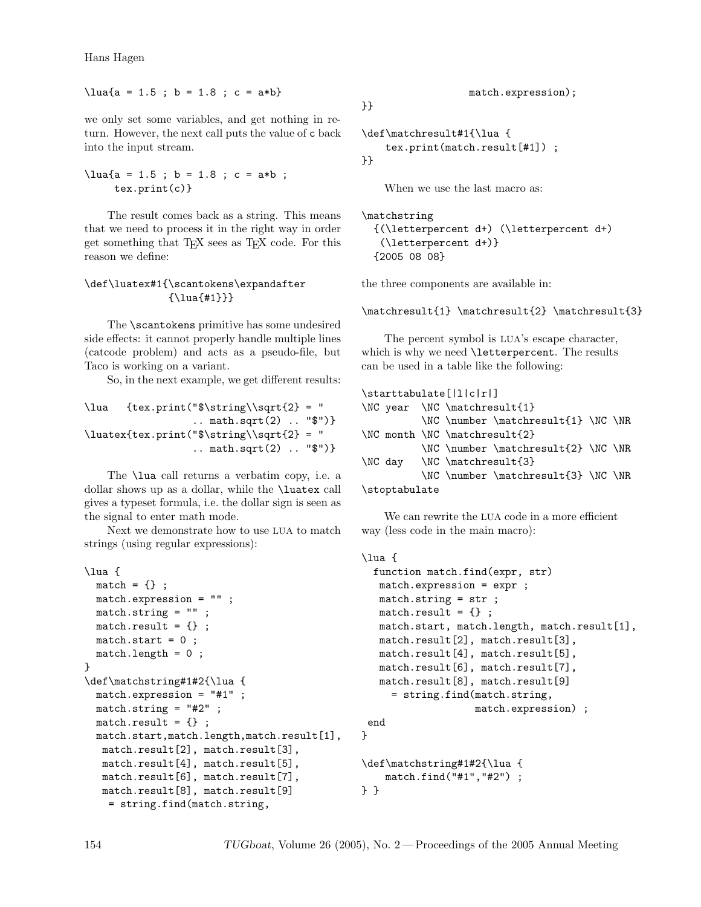Hans Hagen

 $\langle \text{lua}_{a} = 1.5 ; b = 1.8 ; c = a*b \rangle$ 

we only set some variables, and get nothing in return. However, the next call puts the value of c back into the input stream.

 $\langle \text{luafa = 1.5 }$ ; b = 1.8 ; c = a\*b ; tex.print(c)}

The result comes back as a string. This means that we need to process it in the right way in order get something that TEX sees as TEX code. For this reason we define:

# \def\luatex#1{\scantokens\expandafter {\lua{#1}}}

The \scantokens primitive has some undesired side effects: it cannot properly handle multiple lines (catcode problem) and acts as a pseudo-file, but Taco is working on a variant.

So, in the next example, we get different results:

```
\langle \frac{tex.print("$\string\sqrt{2} = ".. math.sqrt(2) .. "$")}
\lvertluatex{tex.print("$\string\\sqrt{2} = "
                   .. math.sqrt(2) .. "$")}
```
The \lua call returns a verbatim copy, i.e. a dollar shows up as a dollar, while the \luatex call gives a typeset formula, i.e. the dollar sign is seen as the signal to enter math mode.

Next we demonstrate how to use LUA to match strings (using regular expressions):

```
\lua {
 match = \{\} ;
 match.expression = "";
 match.string = "" ;
 match.read: \} ;
 match.start = 0 ;
 match.length = 0 ;
}
\def\matchstring#1#2{\lua {
 match.expression = "#1" ;
 match.string = "#2" ;
 match.result = \{\};
 match.start,match.length,match.result[1],
  match.result[2], match.result[3],
  match.result[4], match.result[5],
  match.result[6], match.result[7],
  match.result[8], match.result[9]
   = string.find(match.string,
```
match.expression);

```
\def\matchresult#1{\lua {
    tex.print(match.result[#1]) ;
}}
```
}}

When we use the last macro as:

```
\matchstring
  {(\letterpercent d+) (\letterpercent d+)
   (\letterpercent d+)}
  {2005 08 08}
```
the three components are available in:

\matchresult{1} \matchresult{2} \matchresult{3}

The percent symbol is LUA's escape character, which is why we need \letterpercent. The results can be used in a table like the following:

| $\texttt{l}[l c r]$ |  |  |                               |                                     |  |  |
|---------------------|--|--|-------------------------------|-------------------------------------|--|--|
|                     |  |  | \NC year \NC \matchresult{1}  |                                     |  |  |
|                     |  |  |                               | \NC \number \matchresult{1} \NC \NR |  |  |
|                     |  |  | \NC month \NC \matchresult{2} |                                     |  |  |
|                     |  |  |                               | \NC \number \matchresult{2} \NC \NR |  |  |
|                     |  |  | \NC day \NC \matchresult{3}   |                                     |  |  |
|                     |  |  |                               | \NC \number \matchresult{3} \NC \NR |  |  |
| \stoptabulate       |  |  |                               |                                     |  |  |

We can rewrite the LUA code in a more efficient way (less code in the main macro):

```
\lua {
  function match.find(expr, str)
  match.expression = expr ;
  match.string = str ;
  match.readlt = \{\};
  match.start, match.length, match.result[1],
  match.result[2], match.result[3],
  match.result[4], match.result[5],
  match.result[6], match.result[7],
  match.result[8], match.result[9]
     = string.find(match.string,
                   match.expression) ;
 end
}
\def\matchstring#1#2{\lua {
    match.find("#1","#2") ;
```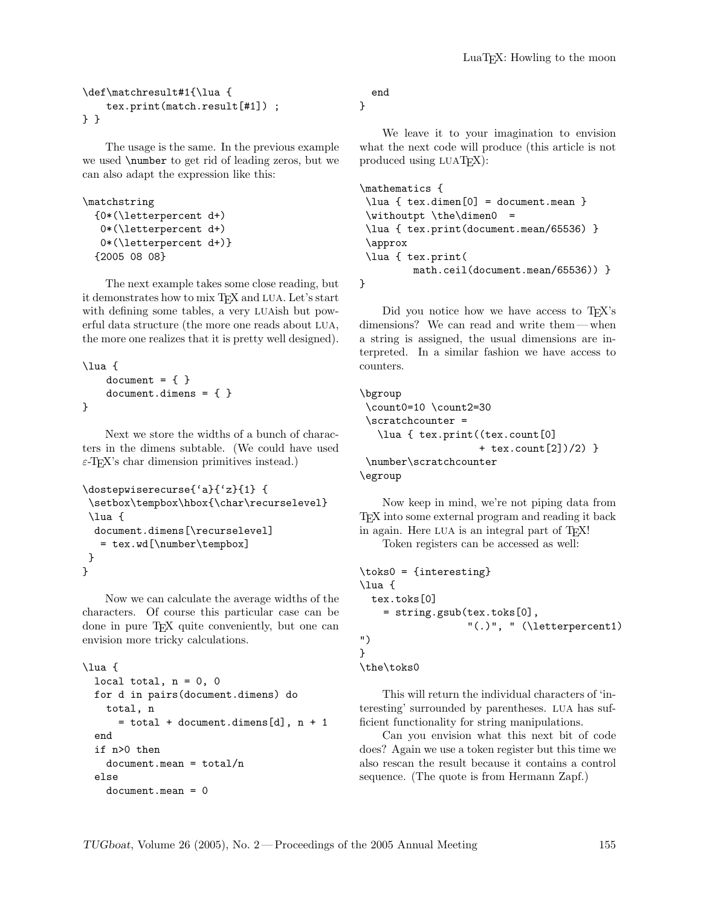```
\def\matchresult#1{\lua {
   tex.print(match.result[#1]) ;
} }
```
The usage is the same. In the previous example we used \number to get rid of leading zeros, but we can also adapt the expression like this:

```
\matchstring
  {0*(\letterpercent d+)
  0*(\letterpercent d+)
   0*(\letterpercent d+)}
  {2005 08 08}
```
The next example takes some close reading, but it demonstrates how to mix T<sub>E</sub>X and LUA. Let's start with defining some tables, a very LUAish but powerful data structure (the more one reads about LUA, the more one realizes that it is pretty well designed).

```
\lua {
    document = \{ \}document.dimens = \{ \}}
```
Next we store the widths of a bunch of characters in the dimens subtable. (We could have used  $\varepsilon$ -T<sub>E</sub>X's char dimension primitives instead.)

```
\dostepwiserecurse{'a}{'z}{1} {
 \setbox\tempbox\hbox{\char\recurselevel}
\lua {
 document.dimens[\recurselevel]
   = tex.wd[\number\tempbox]
}
}
```
Now we can calculate the average widths of the characters. Of course this particular case can be done in pure TEX quite conveniently, but one can envision more tricky calculations.

```
\lua {
  local total, n = 0, 0
  for d in pairs(document.dimens) do
   total, n
      = total + document.dimens[d], n + 1end
  if n>0 then
   document.mac = total/nelse
    document.mean = 0
```
end

}

We leave it to your imagination to envision what the next code will produce (this article is not produced using LUATEX):

```
\mathematics {
\lua { tex.dimen[0] = document.mean }
\withoutpt \the\dimen0 =
\lua { tex.print(document.mean/65536) }
\approx
\lua { tex.print(
        math.ceil(document.mean/65536)) }
}
```
Did you notice how we have access to T<sub>E</sub>X's dimensions? We can read and write them — when a string is assigned, the usual dimensions are interpreted. In a similar fashion we have access to counters.

```
\bgroup
\count0=10 \count2=30
 \scratchcounter =
   \lua { tex.print((tex.count[0]
                    + tex.count[2])/2) }
\number\scratchcounter
\egroup
```
Now keep in mind, we're not piping data from TEX into some external program and reading it back in again. Here LUA is an integral part of T<sub>E</sub>X! Token registers can be accessed as well:

```
\toks0 = {interesting}
\lua {
 tex.toks[0]
    = string.gsub(tex.toks[0],
                  "(.)", " (\letterpercent1)
")
}
\the\toks0
```
This will return the individual characters of 'interesting' surrounded by parentheses. LUA has sufficient functionality for string manipulations.

Can you envision what this next bit of code does? Again we use a token register but this time we also rescan the result because it contains a control sequence. (The quote is from Hermann Zapf.)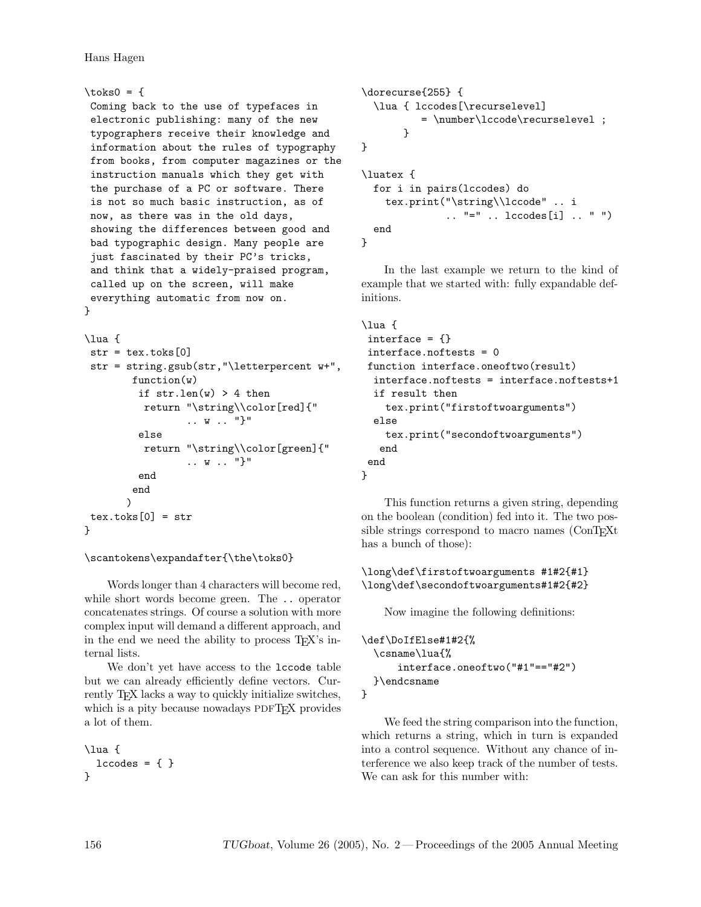```
\text{toks0} = \{Coming back to the use of typefaces in
 electronic publishing: many of the new
typographers receive their knowledge and
 information about the rules of typography
from books, from computer magazines or the
 instruction manuals which they get with
the purchase of a PC or software. There
is not so much basic instruction, as of
now, as there was in the old days,
 showing the differences between good and
bad typographic design. Many people are
just fascinated by their PC's tricks,
and think that a widely-praised program,
called up on the screen, will make
everything automatic from now on.
}
```

```
\lua {
str = \text{tex}.\text{toks}[0]str = string.gsub(str,"\letterpercent w+",
         function(w)
          if str.length(w) > 4 then
           return "\string\\color[red]{"
                    .. w .. "}"
          else
           return "\string\\color[green]{"
                    .. w .. "}"
          end
         end
        \lambdatextrm{.}tex.toks[0] = \text{str}}
```

```
\scantokens\expandafter{\the\toks0}
```
Words longer than 4 characters will become red, while short words become green. The .. operator concatenates strings. Of course a solution with more complex input will demand a different approach, and in the end we need the ability to process T<sub>EX</sub>'s internal lists.

We don't yet have access to the lccode table but we can already efficiently define vectors. Currently T<sub>E</sub>X lacks a way to quickly initialize switches, which is a pity because nowadays PDFT<sub>F</sub>X provides a lot of them.

```
\lua {
  1ccodes = \{ \}}
```

```
\dorecurse{255} {
  \lua { lccodes[\recurselevel]
          = \number\lccode\recurselevel ;
       }
}
\luatex {
  for i in pairs(lccodes) do
    tex.print("\string\\lccode" .. i
              .. "=" .. lccodes[i] .. " ")
  end
}
```
In the last example we return to the kind of example that we started with: fully expandable definitions.

```
\lua {
 interface = \{\}interface.noftests = 0
 function interface.oneoftwo(result)
  interface.noftests = interface.noftests+1
  if result then
    tex.print("firstoftwoarguments")
  else
    tex.print("secondoftwoarguments")
   end
 end
}
```
This function returns a given string, depending on the boolean (condition) fed into it. The two possible strings correspond to macro names (ConT<sub>EXt</sub>) has a bunch of those):

# \long\def\firstoftwoarguments #1#2{#1} \long\def\secondoftwoarguments#1#2{#2}

Now imagine the following definitions:

```
\def\DoIfElse#1#2{%
  \csname\lua{%
      interface.oneoftwo("#1"=="#2")
  }\endcsname
}
```
We feed the string comparison into the function, which returns a string, which in turn is expanded into a control sequence. Without any chance of interference we also keep track of the number of tests. We can ask for this number with: